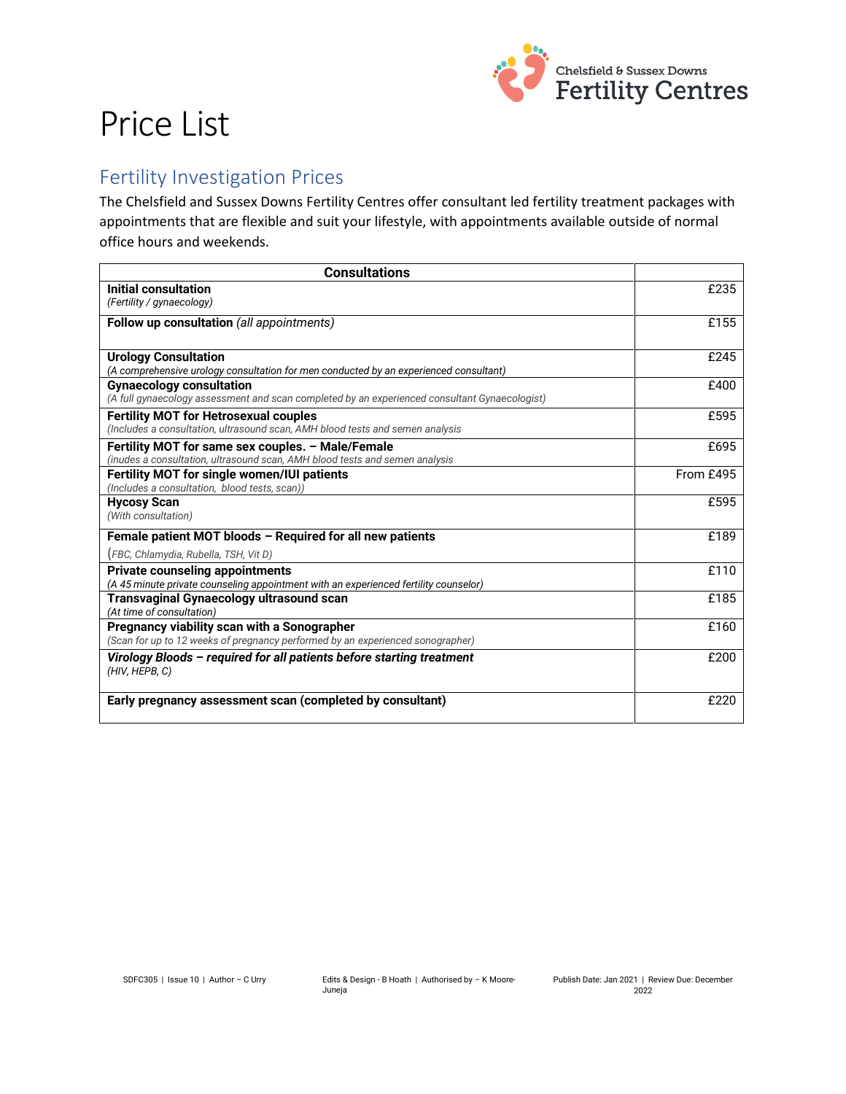

# Price List

#### Fertility Investigation Prices

The Chelsfield and Sussex Downs Fertility Centres offer consultant led fertility treatment packages with appointments that are flexible and suit your lifestyle, with appointments available outside of normal office hours and weekends.

| <b>Consultations</b>                                                                          |           |
|-----------------------------------------------------------------------------------------------|-----------|
| Initial consultation                                                                          | £235      |
| (Fertility / gynaecology)                                                                     |           |
| <b>Follow up consultation (all appointments)</b>                                              | £155      |
|                                                                                               |           |
| <b>Urology Consultation</b>                                                                   | £245      |
| (A comprehensive urology consultation for men conducted by an experienced consultant)         |           |
| <b>Gynaecology consultation</b>                                                               | £400      |
| (A full gynaecology assessment and scan completed by an experienced consultant Gynaecologist) |           |
| <b>Fertility MOT for Hetrosexual couples</b>                                                  | £595      |
| (Includes a consultation, ultrasound scan, AMH blood tests and semen analysis                 |           |
| Fertility MOT for same sex couples. - Male/Female                                             | £695      |
| (inudes a consultation, ultrasound scan, AMH blood tests and semen analysis                   |           |
| Fertility MOT for single women/IUI patients                                                   | From £495 |
| (Includes a consultation, blood tests, scan))                                                 |           |
| <b>Hycosy Scan</b>                                                                            | £595      |
| (With consultation)                                                                           |           |
| Female patient MOT bloods - Required for all new patients                                     | £189      |
| (FBC, Chlamydia, Rubella, TSH, Vit D)                                                         |           |
| <b>Private counseling appointments</b>                                                        | £110      |
| (A 45 minute private counseling appointment with an experienced fertility counselor)          |           |
| <b>Transvaginal Gynaecology ultrasound scan</b>                                               | £185      |
| (At time of consultation)                                                                     |           |
| Pregnancy viability scan with a Sonographer                                                   | £160      |
| (Scan for up to 12 weeks of pregnancy performed by an experienced sonographer)                |           |
| Virology Bloods - required for all patients before starting treatment                         | £200      |
| (HIV, HEPB, C)                                                                                |           |
|                                                                                               |           |
| Early pregnancy assessment scan (completed by consultant)                                     | £220      |
|                                                                                               |           |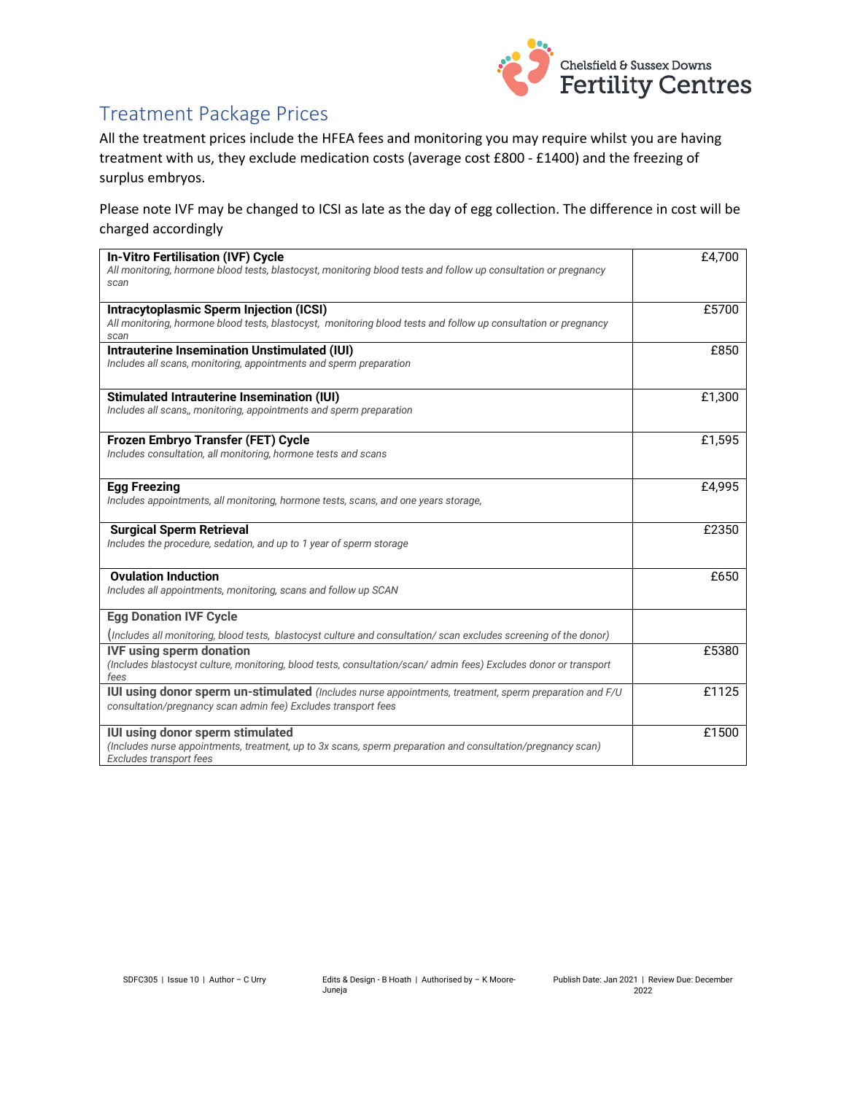

### Treatment Package Prices

All the treatment prices include the HFEA fees and monitoring you may require whilst you are having treatment with us, they exclude medication costs (average cost £800 - £1400) and the freezing of surplus embryos.

Please note IVF may be changed to ICSI as late as the day of egg collection. The difference in cost will be charged accordingly

| <b>In-Vitro Fertilisation (IVF) Cycle</b><br>All monitoring, hormone blood tests, blastocyst, monitoring blood tests and follow up consultation or pregnancy<br>scan                                                                                                              | £4,700 |
|-----------------------------------------------------------------------------------------------------------------------------------------------------------------------------------------------------------------------------------------------------------------------------------|--------|
| <b>Intracytoplasmic Sperm Injection (ICSI)</b><br>All monitoring, hormone blood tests, blastocyst, monitoring blood tests and follow up consultation or pregnancy<br>scan                                                                                                         | £5700  |
| Intrauterine Insemination Unstimulated (IUI)<br>Includes all scans, monitoring, appointments and sperm preparation                                                                                                                                                                | £850   |
| <b>Stimulated Intrauterine Insemination (IUI)</b><br>Includes all scans,, monitoring, appointments and sperm preparation                                                                                                                                                          | £1,300 |
| Frozen Embryo Transfer (FET) Cycle<br>Includes consultation, all monitoring, hormone tests and scans                                                                                                                                                                              | £1,595 |
| <b>Egg Freezing</b><br>Includes appointments, all monitoring, hormone tests, scans, and one years storage,                                                                                                                                                                        | £4,995 |
| <b>Surgical Sperm Retrieval</b><br>Includes the procedure, sedation, and up to 1 year of sperm storage                                                                                                                                                                            | £2350  |
| <b>Ovulation Induction</b><br>Includes all appointments, monitoring, scans and follow up SCAN                                                                                                                                                                                     | £650   |
| <b>Egg Donation IVF Cycle</b>                                                                                                                                                                                                                                                     |        |
| (Includes all monitoring, blood tests, blastocyst culture and consultation/ scan excludes screening of the donor)<br><b>IVF using sperm donation</b><br>(Includes blastocyst culture, monitoring, blood tests, consultation/scan/ admin fees) Excludes donor or transport<br>fees | £5380  |
| <b>IUI using donor sperm un-stimulated</b> (Includes nurse appointments, treatment, sperm preparation and F/U<br>consultation/pregnancy scan admin fee) Excludes transport fees                                                                                                   | £1125  |
| IUI using donor sperm stimulated<br>(Includes nurse appointments, treatment, up to 3x scans, sperm preparation and consultation/pregnancy scan)<br>Excludes transport fees                                                                                                        | £1500  |